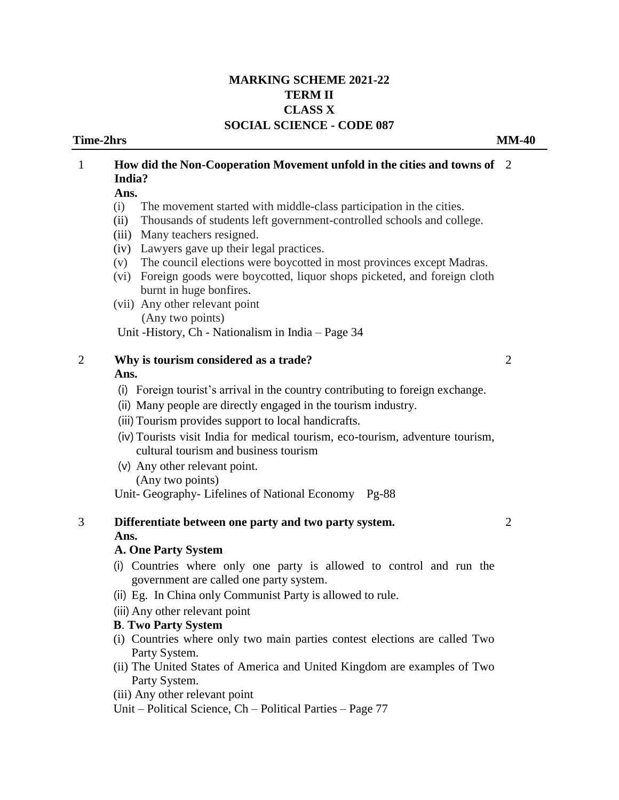### **MARKING SCHEME 2021-22 TERM II CLASS X SOCIAL SCIENCE - CODE 087**

### **Time-2hrs MM-40**

# 1 **How did the Non-Cooperation Movement unfold in the cities and towns of**  2 **India? Ans.**  (i) The movement started with middle-class participation in the cities.

- (ii) Thousands of students left government-controlled schools and college.
- (iii) Many teachers resigned.
- (iv) Lawyers gave up their legal practices.
- (v) The council elections were boycotted in most provinces except Madras.
- (vi) Foreign goods were boycotted, liquor shops picketed, and foreign cloth burnt in huge bonfires.
- (vii) Any other relevant point (Any two points)

Unit -History, Ch - Nationalism in India – Page 34

- 2 **Why is tourism considered as a trade? Ans.** 
	- (i) Foreign tourist's arrival in the country contributing to foreign exchange.
	- (ii) Many people are directly engaged in the tourism industry.
	- (iii) Tourism provides support to local handicrafts.
	- (iv) Tourists visit India for medical tourism, eco-tourism, adventure tourism, cultural tourism and business tourism
	- (v) Any other relevant point. (Any two points)

Unit- Geography- Lifelines of National Economy Pg-88

3 **Differentiate between one party and two party system. Ans.** 

2

 $\mathcal{L}$ 

### **A. One Party System**

- (i) Countries where only one party is allowed to control and run the government are called one party system.
- (ii) Eg. In China only Communist Party is allowed to rule.
- (iii) Any other relevant point

### **B**. **Two Party System**

- (i) Countries where only two main parties contest elections are called Two Party System.
- (ii) The United States of America and United Kingdom are examples of Two Party System.
- (iii) Any other relevant point
- Unit Political Science, Ch Political Parties Page 77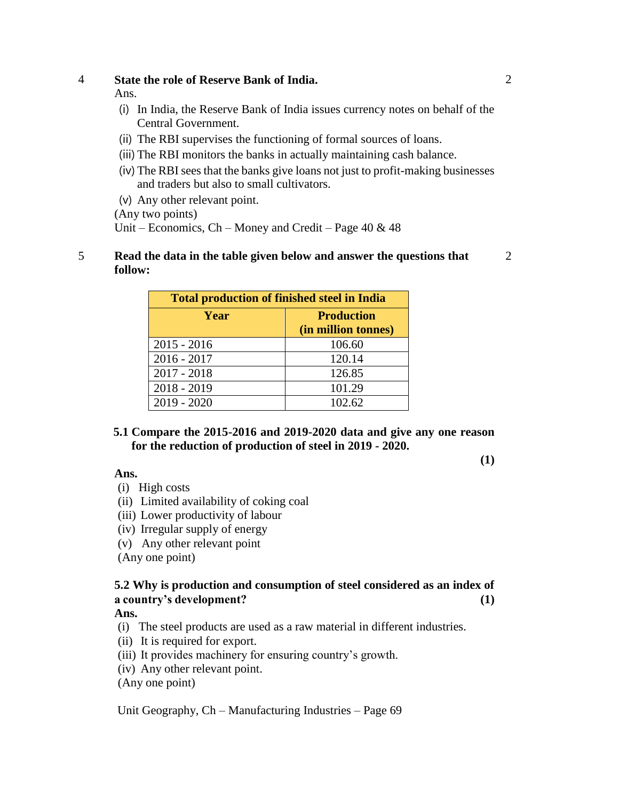### 4 **State the role of Reserve Bank of India.**

Ans.

- (i) In India, the Reserve Bank of India issues currency notes on behalf of the Central Government.
- (ii) The RBI supervises the functioning of formal sources of loans.
- (iii) The RBI monitors the banks in actually maintaining cash balance.
- (iv) The RBI sees that the banks give loans not just to profit-making businesses and traders but also to small cultivators.
- (v) Any other relevant point.

(Any two points)

Unit – Economics, Ch – Money and Credit – Page  $40 \& 48$ 

### 5 **Read the data in the table given below and answer the questions that follow:**

**Total production of finished steel in India Year Production (in million tonnes)** 2015 - 2016 106.60 2016 - 2017 120.14 2017 - 2018 126.85 2018 - 2019 101.29 2019 - 2020 102.62

**5.1 Compare the 2015-2016 and 2019-2020 data and give any one reason for the reduction of production of steel in 2019 - 2020.** 

### **Ans.**

- 
- (i) High costs
- (ii) Limited availability of coking coal
- (iii) Lower productivity of labour
- (iv) Irregular supply of energy
- (v) Any other relevant point

(Any one point)

# **5.2 Why is production and consumption of steel considered as an index of a country's development? (1)**

### **Ans.**

- (i) The steel products are used as a raw material in different industries.
- (ii) It is required for export.
- (iii) It provides machinery for ensuring country's growth.
- (iv) Any other relevant point.
- (Any one point)

Unit Geography, Ch – Manufacturing Industries – Page 69

2

**(1)**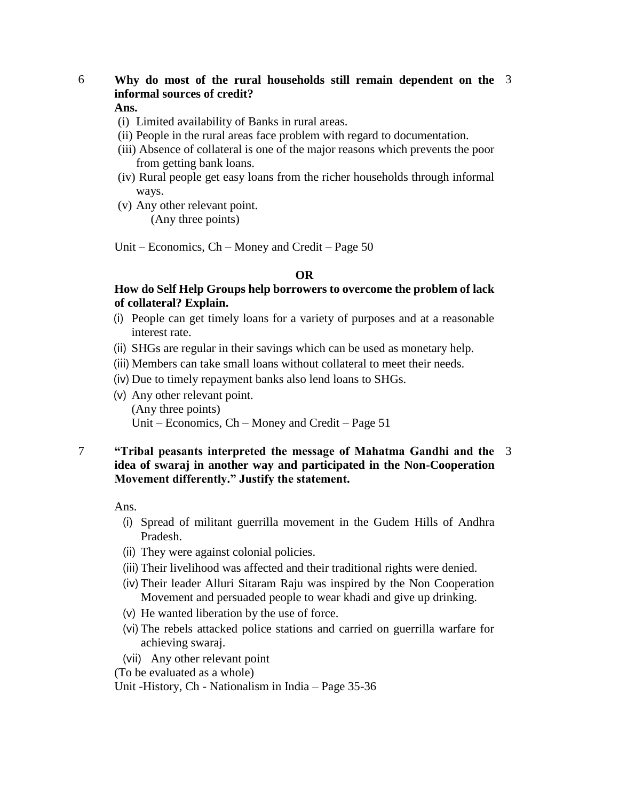## 6 **Why do most of the rural households still remain dependent on the**  3 **informal sources of credit?**

### **Ans.**

- (i) Limited availability of Banks in rural areas.
- (ii) People in the rural areas face problem with regard to documentation.
- (iii) Absence of collateral is one of the major reasons which prevents the poor from getting bank loans.
- (iv) Rural people get easy loans from the richer households through informal ways.
- (v) Any other relevant point. (Any three points)

Unit – Economics, Ch – Money and Credit – Page 50

#### **OR**

### **How do Self Help Groups help borrowers to overcome the problem of lack of collateral? Explain.**

- (i) People can get timely loans for a variety of purposes and at a reasonable interest rate.
- (ii) SHGs are regular in their savings which can be used as monetary help.
- (iii) Members can take small loans without collateral to meet their needs.
- (iv) Due to timely repayment banks also lend loans to SHGs.
- (v) Any other relevant point. (Any three points) Unit – Economics, Ch – Money and Credit – Page 51

### 7 **"Tribal peasants interpreted the message of Mahatma Gandhi and the**  3**idea of swaraj in another way and participated in the Non-Cooperation Movement differently." Justify the statement.**

Ans.

- (i) Spread of militant guerrilla movement in the Gudem Hills of Andhra Pradesh.
- (ii) They were against colonial policies.
- (iii) Their livelihood was affected and their traditional rights were denied.
- (iv) Their leader Alluri Sitaram Raju was inspired by the Non Cooperation Movement and persuaded people to wear khadi and give up drinking.
- (v) He wanted liberation by the use of force.
- (vi) The rebels attacked police stations and carried on guerrilla warfare for achieving swaraj.
- (vii) Any other relevant point

(To be evaluated as a whole)

Unit -History, Ch - Nationalism in India – Page 35-36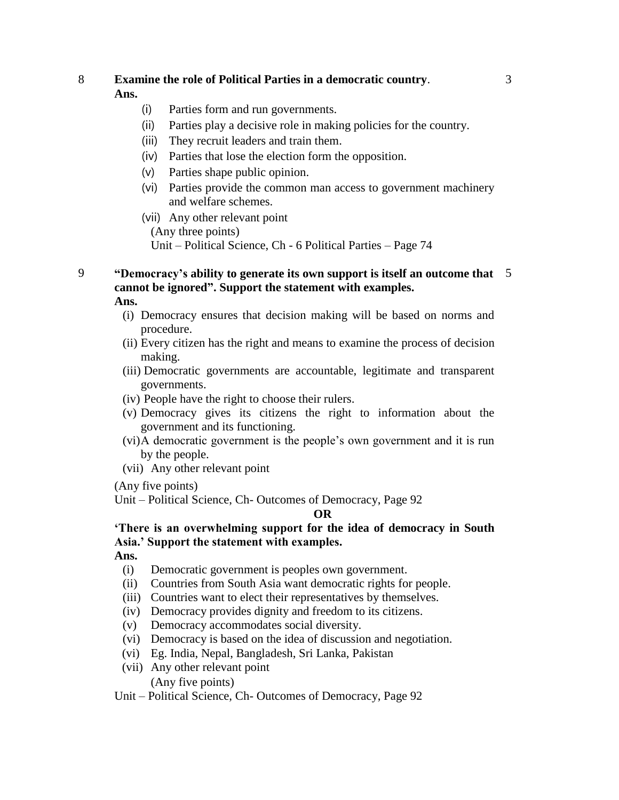# 8 **Examine the role of Political Parties in a democratic country**.

# **Ans.**

- (i) Parties form and run governments.
- (ii) Parties play a decisive role in making policies for the country.
- (iii) They recruit leaders and train them.
- (iv) Parties that lose the election form the opposition.
- (v) Parties shape public opinion.
- (vi) Parties provide the common man access to government machinery and welfare schemes.
- (vii) Any other relevant point

(Any three points)

- Unit Political Science, Ch 6 Political Parties Page 74
- 9 **"Democracy's ability to generate its own support is itself an outcome that**  5**cannot be ignored". Support the statement with examples. Ans.**

- (i) Democracy ensures that decision making will be based on norms and procedure.
- (ii) Every citizen has the right and means to examine the process of decision making.
- (iii) Democratic governments are accountable, legitimate and transparent governments.
- (iv) People have the right to choose their rulers.
- (v) Democracy gives its citizens the right to information about the government and its functioning.
- (vi)A democratic government is the people's own government and it is run by the people.
- (vii) Any other relevant point

(Any five points)

Unit – Political Science, Ch- Outcomes of Democracy, Page 92

### **OR**

**'There is an overwhelming support for the idea of democracy in South Asia.' Support the statement with examples.** 

**Ans.** 

- (i) Democratic government is peoples own government.
- (ii) Countries from South Asia want democratic rights for people.
- (iii) Countries want to elect their representatives by themselves.
- (iv) Democracy provides dignity and freedom to its citizens.
- (v) Democracy accommodates social diversity.
- (vi) Democracy is based on the idea of discussion and negotiation.
- (vi) Eg. India, Nepal, Bangladesh, Sri Lanka, Pakistan
- (vii) Any other relevant point

(Any five points)

Unit – Political Science, Ch- Outcomes of Democracy, Page 92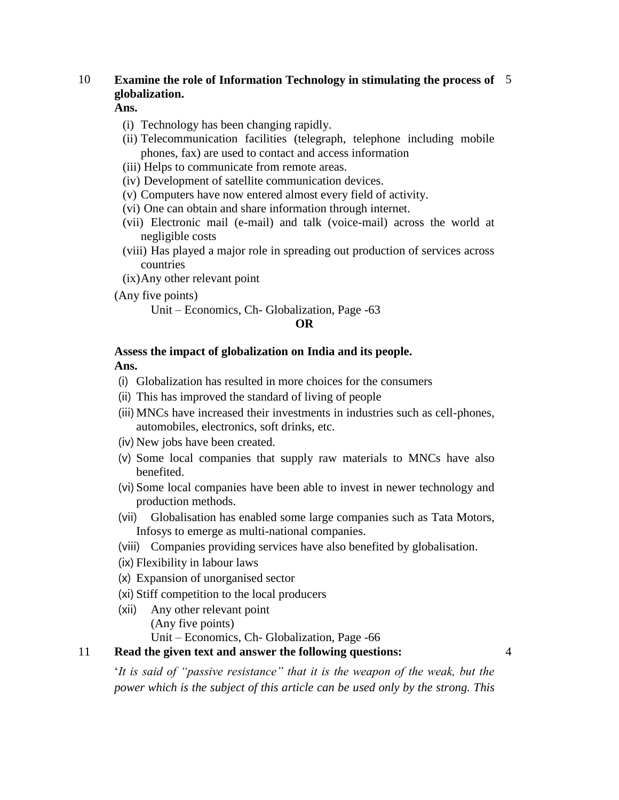# 10 **Examine the role of Information Technology in stimulating the process of**  5 **globalization.**

**Ans.** 

- (i) Technology has been changing rapidly.
- (ii) Telecommunication facilities (telegraph, telephone including mobile phones, fax) are used to contact and access information
- (iii) Helps to communicate from remote areas.
- (iv) Development of satellite communication devices.
- (v) Computers have now entered almost every field of activity.
- (vi) One can obtain and share information through internet.
- (vii) Electronic mail (e-mail) and talk (voice-mail) across the world at negligible costs
- (viii) Has played a major role in spreading out production of services across countries
- (ix)Any other relevant point
- (Any five points)

Unit – Economics, Ch- Globalization, Page -63

### **OR**

# **Assess the impact of globalization on India and its people.**

**Ans.** 

- (i) Globalization has resulted in more choices for the consumers
- (ii) This has improved the standard of living of people
- (iii) MNCs have increased their investments in industries such as cell-phones, automobiles, electronics, soft drinks, etc.
- (iv) New jobs have been created.
- (v) Some local companies that supply raw materials to MNCs have also benefited.
- (vi) Some local companies have been able to invest in newer technology and production methods.
- (vii) Globalisation has enabled some large companies such as Tata Motors, Infosys to emerge as multi-national companies.
- (viii) Companies providing services have also benefited by globalisation.
- (ix) Flexibility in labour laws
- (x) Expansion of unorganised sector
- (xi) Stiff competition to the local producers
- (xii) Any other relevant point (Any five points)
- Unit Economics, Ch- Globalization, Page -66 11 **Read the given text and answer the following questions:**

'*It is said of "passive resistance" that it is the weapon of the weak, but the power which is the subject of this article can be used only by the strong. This*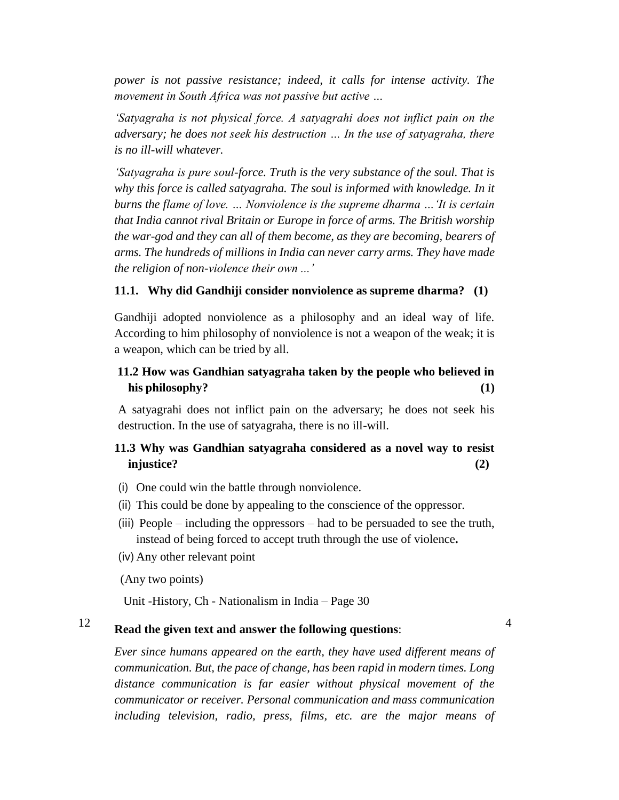*power is not passive resistance; indeed, it calls for intense activity. The movement in South Africa was not passive but active …*

*'Satyagraha is not physical force. A satyagrahi does not inflict pain on the adversary; he does not seek his destruction … In the use of satyagraha, there is no ill-will whatever.*

*'Satyagraha is pure soul-force. Truth is the very substance of the soul. That is why this force is called satyagraha. The soul is informed with knowledge. In it burns the flame of love. … Nonviolence is the supreme dharma …'It is certain that India cannot rival Britain or Europe in force of arms. The British worship the war-god and they can all of them become, as they are becoming, bearers of arms. The hundreds of millions in India can never carry arms. They have made the religion of non-violence their own ...'*

### **11.1. Why did Gandhiji consider nonviolence as supreme dharma? (1)**

Gandhiji adopted nonviolence as a philosophy and an ideal way of life. According to him philosophy of nonviolence is not a weapon of the weak; it is a weapon, which can be tried by all.

# **11.2 How was Gandhian satyagraha taken by the people who believed in his philosophy? (1)**

A satyagrahi does not inflict pain on the adversary; he does not seek his destruction. In the use of satyagraha, there is no ill-will.

### **11.3 Why was Gandhian satyagraha considered as a novel way to resist injustice? (2)**

- (i) One could win the battle through nonviolence.
- (ii) This could be done by appealing to the conscience of the oppressor.
- (iii) People including the oppressors had to be persuaded to see the truth, instead of being forced to accept truth through the use of violence**.**
- (iv) Any other relevant point

(Any two points)

Unit -History, Ch - Nationalism in India – Page 30

# <sup>12</sup> **Read the given text and answer the following questions**:

4

*Ever since humans appeared on the earth, they have used different means of communication. But, the pace of change, has been rapid in modern times. Long distance communication is far easier without physical movement of the communicator or receiver. Personal communication and mass communication including television, radio, press, films, etc. are the major means of*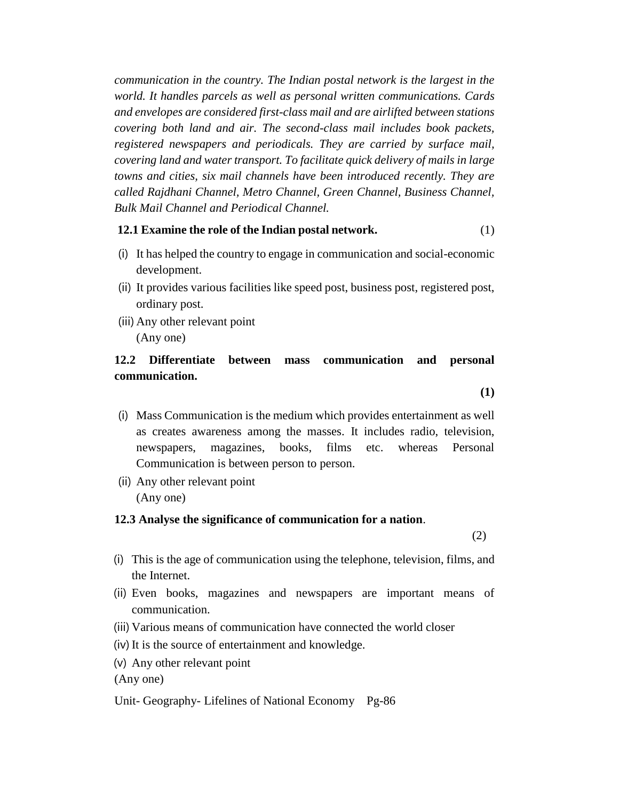*communication in the country. The Indian postal network is the largest in the world. It handles parcels as well as personal written communications. Cards and envelopes are considered first-class mail and are airlifted between stations covering both land and air. The second-class mail includes book packets, registered newspapers and periodicals. They are carried by surface mail, covering land and water transport. To facilitate quick delivery of mails in large towns and cities, six mail channels have been introduced recently. They are called Rajdhani Channel, Metro Channel, Green Channel, Business Channel, Bulk Mail Channel and Periodical Channel.*

### **12.1 Examine the role of the Indian postal network.** (1)

- (i) It has helped the country to engage in communication and social-economic development.
- (ii) It provides various facilities like speed post, business post, registered post, ordinary post.
- (iii) Any other relevant point (Any one)

## **12.2 Differentiate between mass communication and personal communication.**

**(1)**

- (i) Mass Communication is the medium which provides entertainment as well as creates awareness among the masses. It includes radio, television, newspapers, magazines, books, films etc. whereas Personal Communication is between person to person.
- (ii) Any other relevant point (Any one)

#### **12.3 Analyse the significance of communication for a nation**.

(2)

- (i) This is the age of communication using the telephone, television, films, and the Internet.
- (ii) Even books, magazines and newspapers are important means of communication.
- (iii) Various means of communication have connected the world closer
- (iv) It is the source of entertainment and knowledge.
- (v) Any other relevant point

(Any one)

Unit- Geography- Lifelines of National Economy Pg-86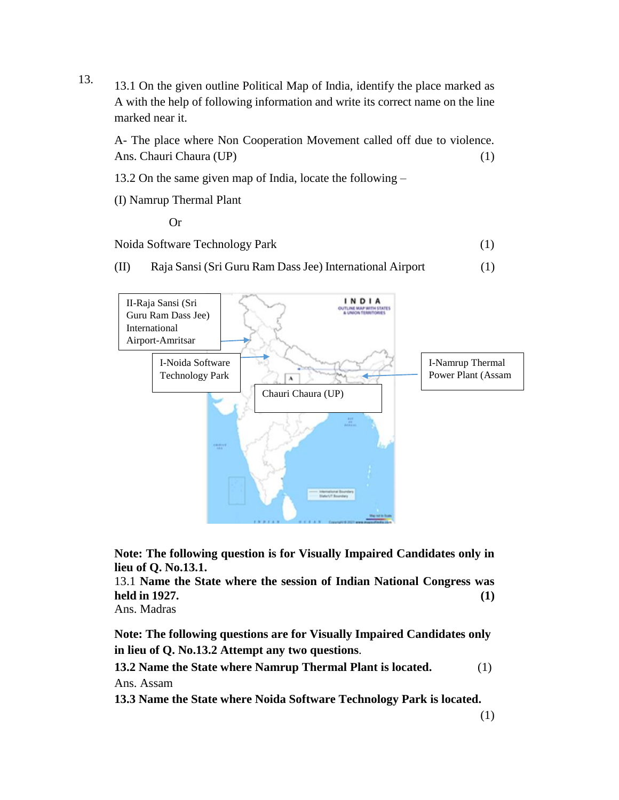13. 13.1 On the given outline Political Map of India, identify the place marked as A with the help of following information and write its correct name on the line marked near it.

A- The place where Non Cooperation Movement called off due to violence. Ans. Chauri Chaura (UP) (1)

- 13.2 On the same given map of India, locate the following –
- (I) Namrup Thermal Plant

Or

Noida Software Technology Park (1)

(II) Raja Sansi (Sri Guru Ram Dass Jee) International Airport (1)



**Note: The following question is for Visually Impaired Candidates only in lieu of Q. No.13.1.** 

13.1 **Name the State where the session of Indian National Congress was held in 1927. (1)**

Ans. Madras

**Note: The following questions are for Visually Impaired Candidates only in lieu of Q. No.13.2 Attempt any two questions**.

**13.2 Name the State where Namrup Thermal Plant is located.** (1) Ans. Assam

**13.3 Name the State where Noida Software Technology Park is located.**